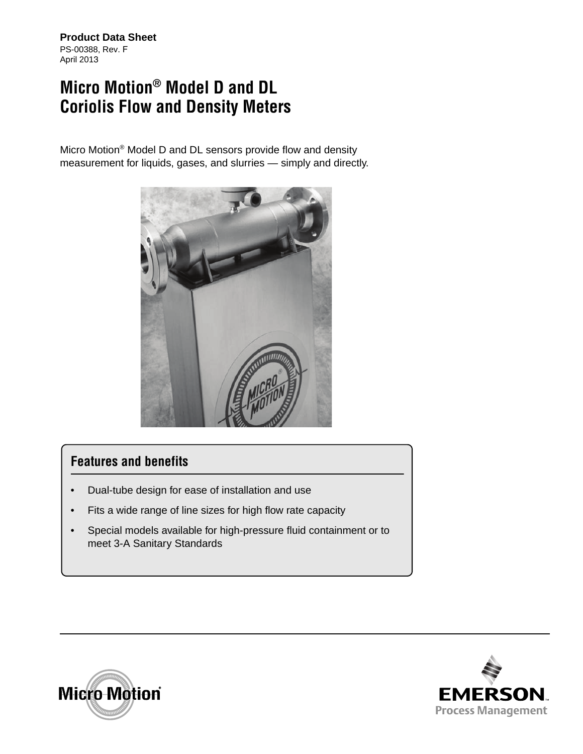**Product Data Sheet** PS-00388, Rev. F April 2013

## **Micro Motion® Model D and DL Coriolis Flow and Density Meters**

Micro Motion® Model D and DL sensors provide flow and density measurement for liquids, gases, and slurries — simply and directly.



### **Features and benefits**

- Dual-tube design for ease of installation and use
- Fits a wide range of line sizes for high flow rate capacity
- Special models available for high-pressure fluid containment or to meet 3-A Sanitary Standards



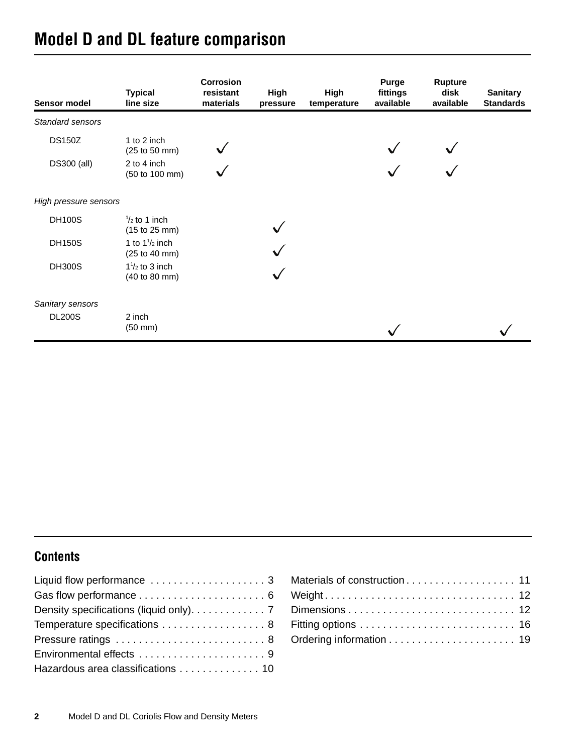# **Model D and DL feature comparison**

| Sensor model          | <b>Typical</b><br>line size               | Corrosion<br>resistant<br>materials | High<br>pressure | <b>High</b><br>temperature | Purge<br>fittings<br>available | <b>Rupture</b><br>disk<br>available | <b>Sanitary</b><br><b>Standards</b> |
|-----------------------|-------------------------------------------|-------------------------------------|------------------|----------------------------|--------------------------------|-------------------------------------|-------------------------------------|
| Standard sensors      |                                           |                                     |                  |                            |                                |                                     |                                     |
| <b>DS150Z</b>         | 1 to 2 inch<br>(25 to 50 mm)              |                                     |                  |                            |                                |                                     |                                     |
| DS300 (all)           | 2 to 4 inch<br>(50 to 100 mm)             |                                     |                  |                            |                                |                                     |                                     |
| High pressure sensors |                                           |                                     |                  |                            |                                |                                     |                                     |
| <b>DH100S</b>         | $\frac{1}{2}$ to 1 inch<br>(15 to 25 mm)  |                                     |                  |                            |                                |                                     |                                     |
| <b>DH150S</b>         | 1 to $1\frac{1}{2}$ inch<br>(25 to 40 mm) |                                     |                  |                            |                                |                                     |                                     |
| <b>DH300S</b>         | $1\frac{1}{2}$ to 3 inch<br>(40 to 80 mm) |                                     |                  |                            |                                |                                     |                                     |
| Sanitary sensors      |                                           |                                     |                  |                            |                                |                                     |                                     |
| <b>DL200S</b>         | 2 inch<br>$(50 \text{ mm})$               |                                     |                  |                            |                                |                                     |                                     |

### **Contents**

| Density specifications (liquid only). 7 |
|-----------------------------------------|
| Temperature specifications  8           |
|                                         |
|                                         |
| Hazardous area classifications 10       |

| Weight 12 |  |
|-----------|--|
|           |  |
|           |  |
|           |  |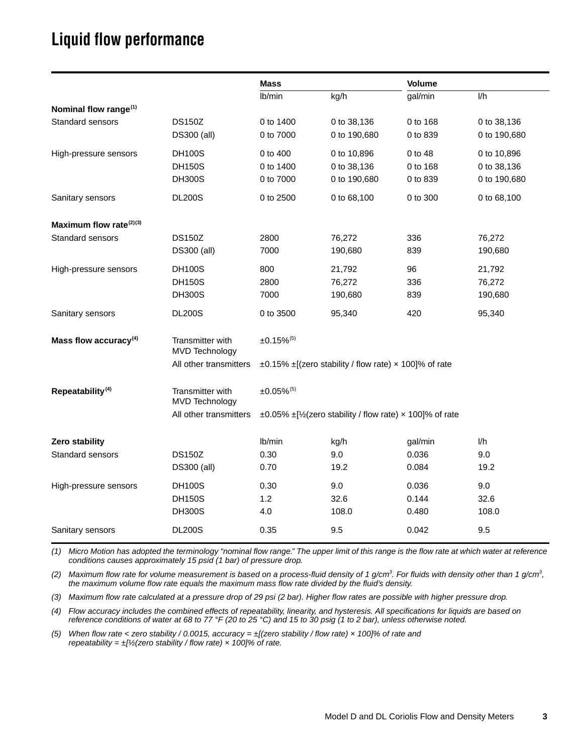## <span id="page-2-0"></span>**Liquid flow performance**

|                                     |                                           | <b>Mass</b>              |                                                                   | <b>Volume</b> |              |
|-------------------------------------|-------------------------------------------|--------------------------|-------------------------------------------------------------------|---------------|--------------|
|                                     |                                           | lb/min                   | kg/h                                                              | gal/min       | 1/h          |
| Nominal flow range <sup>(1)</sup>   |                                           |                          |                                                                   |               |              |
| Standard sensors                    | <b>DS150Z</b>                             | 0 to 1400                | 0 to 38,136                                                       | 0 to 168      | 0 to 38,136  |
|                                     | DS300 (all)                               | 0 to 7000                | 0 to 190,680                                                      | 0 to 839      | 0 to 190,680 |
| High-pressure sensors               | <b>DH100S</b>                             | 0 to 400                 | 0 to 10,896                                                       | 0 to 48       | 0 to 10,896  |
|                                     | <b>DH150S</b>                             | 0 to 1400                | 0 to 38,136                                                       | 0 to 168      | 0 to 38,136  |
|                                     | <b>DH300S</b>                             | 0 to 7000                | 0 to 190,680                                                      | 0 to 839      | 0 to 190,680 |
| Sanitary sensors                    | <b>DL200S</b>                             | 0 to 2500                | 0 to 68,100                                                       | 0 to 300      | 0 to 68,100  |
| Maximum flow rate <sup>(2)(3)</sup> |                                           |                          |                                                                   |               |              |
| <b>Standard sensors</b>             | <b>DS150Z</b>                             | 2800                     | 76,272                                                            | 336           | 76,272       |
|                                     | DS300 (all)                               | 7000                     | 190,680                                                           | 839           | 190,680      |
| High-pressure sensors               | <b>DH100S</b>                             | 800                      | 21,792                                                            | 96            | 21,792       |
|                                     | <b>DH150S</b>                             | 2800                     | 76,272                                                            | 336           | 76,272       |
|                                     | <b>DH300S</b>                             | 7000                     | 190,680                                                           | 839           | 190,680      |
| Sanitary sensors                    | <b>DL200S</b>                             | 0 to 3500                | 95,340                                                            | 420           | 95,340       |
| Mass flow accuracy <sup>(4)</sup>   | Transmitter with<br><b>MVD Technology</b> | $±0.15\%$ <sup>(5)</sup> |                                                                   |               |              |
|                                     | All other transmitters                    |                          | $\pm 0.15\%$ $\pm$ [(zero stability / flow rate) x 100]% of rate  |               |              |
| Repeatability <sup>(4)</sup>        | Transmitter with<br><b>MVD Technology</b> | $±0.05\%$ <sup>(5)</sup> |                                                                   |               |              |
|                                     | All other transmitters                    |                          | $\pm 0.05\%$ $\pm$ [½(zero stability / flow rate) x 100]% of rate |               |              |
| Zero stability                      |                                           | lb/min                   | kg/h                                                              | gal/min       | I/h          |
| <b>Standard sensors</b>             | <b>DS150Z</b>                             | 0.30                     | 9.0                                                               | 0.036         | 9.0          |
|                                     | DS300 (all)                               | 0.70                     | 19.2                                                              | 0.084         | 19.2         |
| High-pressure sensors               | <b>DH100S</b>                             | 0.30                     | 9.0                                                               | 0.036         | 9.0          |
|                                     | <b>DH150S</b>                             | 1.2                      | 32.6                                                              | 0.144         | 32.6         |
|                                     | <b>DH300S</b>                             | 4.0                      | 108.0                                                             | 0.480         | 108.0        |
| Sanitary sensors                    | <b>DL200S</b>                             | 0.35                     | 9.5                                                               | 0.042         | 9.5          |

*(1) Micro Motion has adopted the terminology "nominal flow range." The upper limit of this range is the flow rate at which water at reference conditions causes approximately 15 psid (1 bar) of pressure drop.*

(2) Maximum flow rate for volume measurement is based on a process-fluid density of 1 g/cm<sup>3</sup>. For fluids with density other than 1 g/cm<sup>3</sup>, *the maximum volume flow rate equals the maximum mass flow rate divided by the fluid's density.*

*(3) Maximum flow rate calculated at a pressure drop of 29 psi (2 bar). Higher flow rates are possible with higher pressure drop.*

<span id="page-2-1"></span>*(4) Flow accuracy includes the combined effects of repeatability, linearity, and hysteresis. All specifications for liquids are based on reference conditions of water at 68 to 77 °F (20 to 25 °C) and 15 to 30 psig (1 to 2 bar), unless otherwise noted.*

<span id="page-2-2"></span>*(5) When flow rate < zero stability / 0.0015, accuracy = ±[(zero stability / flow rate) × 100]% of rate and repeatability = ±[½(zero stability / flow rate) × 100]% of rate.*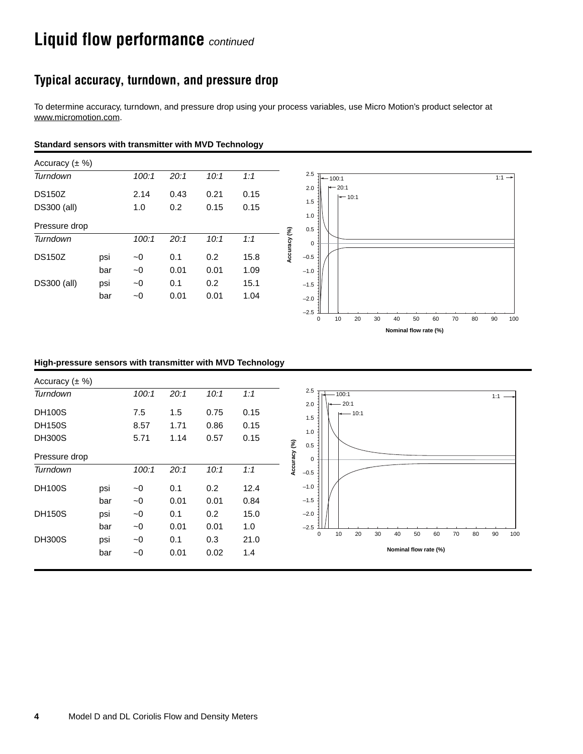## **Liquid flow performance** *continued*

### **Typical accuracy, turndown, and pressure drop**

To determine accuracy, turndown, and pressure drop using your process variables, use Micro Motion's product selector at [www.micromotion.com.](http://www.micromotion.com)

#### **Standard sensors with transmitter with MVD Technology**



#### **High-pressure sensors with transmitter with MVD Technology**

| Accuracy $(\pm \%)$ |     |          |      |      |      |                                                                |
|---------------------|-----|----------|------|------|------|----------------------------------------------------------------|
| Turndown            |     | 100:1    | 20:1 | 10:1 | 1:1  | 2.5<br>$-100:1$<br>1:1                                         |
| <b>DH100S</b>       |     | 7.5      | 1.5  | 0.75 | 0.15 | 20:1<br>2.0<br>$-10:1$                                         |
| <b>DH150S</b>       |     | 8.57     | 1.71 | 0.86 | 0.15 | 1.5                                                            |
| <b>DH300S</b>       |     | 5.71     | 1.14 | 0.57 | 0.15 | 1.0<br>0.5                                                     |
| Pressure drop       |     |          |      |      |      | Accuracy (%)<br>0                                              |
| Turndown            |     | 100:1    | 20:1 | 10:1 | 1:1  | $-0.5$                                                         |
| <b>DH100S</b>       | psi | $\sim 0$ | 0.1  | 0.2  | 12.4 | $-1.0$                                                         |
|                     | bar | $\sim 0$ | 0.01 | 0.01 | 0.84 | $-1.5$                                                         |
| <b>DH150S</b>       | psi | $\sim 0$ | 0.1  | 0.2  | 15.0 | $-2.0$                                                         |
|                     | bar | $\sim 0$ | 0.01 | 0.01 | 1.0  | $-2.5$                                                         |
| <b>DH300S</b>       | psi | ~1       | 0.1  | 0.3  | 21.0 | 20<br>30<br>90<br>10<br>40<br>50<br>60<br>70<br>80<br>100<br>0 |
|                     | bar | $\sim 0$ | 0.01 | 0.02 | 1.4  | Nominal flow rate (%)                                          |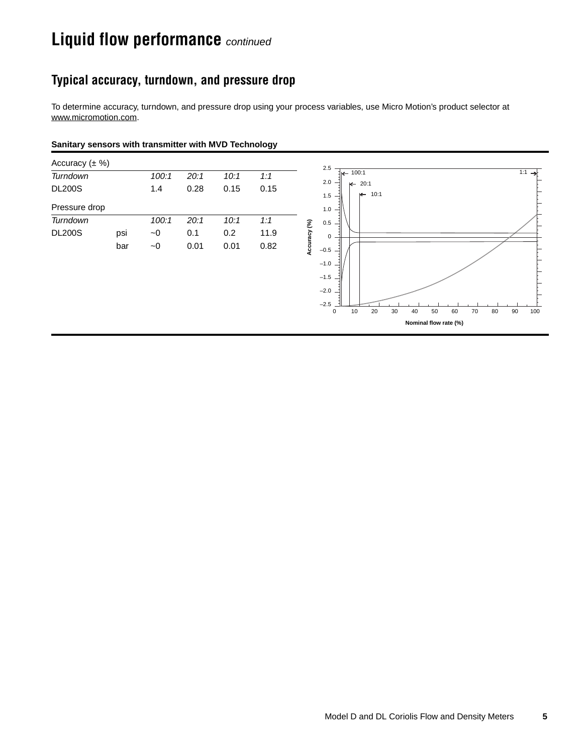## **Liquid flow performance** *continued*

### **Typical accuracy, turndown, and pressure drop**

To determine accuracy, turndown, and pressure drop using your process variables, use Micro Motion's product selector at [www.micromotion.com.](http://www.micromotion.com)

#### **Sanitary sensors with transmitter with MVD Technology**

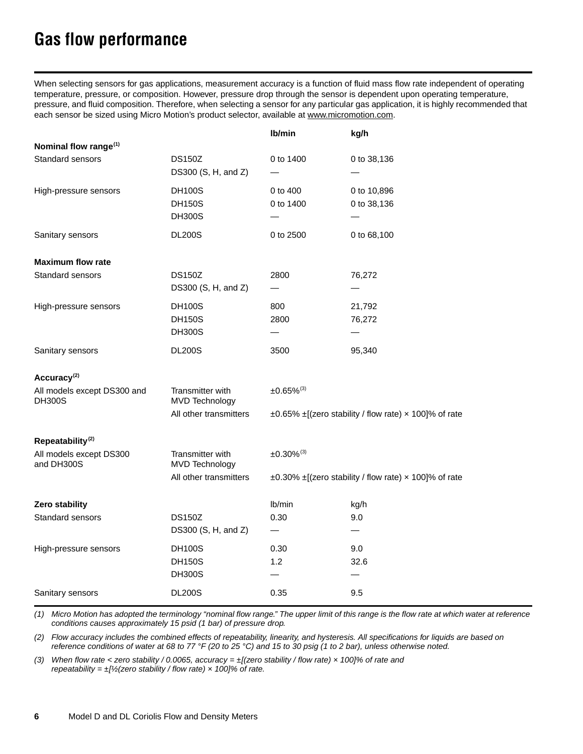# <span id="page-5-0"></span>**Gas flow performance**

When selecting sensors for gas applications, measurement accuracy is a function of fluid mass flow rate independent of operating temperature, pressure, or composition. However, pressure drop through the sensor is dependent upon operating temperature, pressure, and fluid composition. Therefore, when selecting a sensor for any particular gas application, it is highly recommended that each sensor be sized using Micro Motion's product selector, available at [www.micromotion.com.](http://www.micromotion.com)

|                                           | Ib/min                                                                                  | kg/h                                                             |  |  |
|-------------------------------------------|-----------------------------------------------------------------------------------------|------------------------------------------------------------------|--|--|
|                                           |                                                                                         |                                                                  |  |  |
| <b>DS150Z</b>                             | 0 to 1400                                                                               | 0 to 38,136                                                      |  |  |
|                                           |                                                                                         |                                                                  |  |  |
|                                           |                                                                                         | 0 to 10,896                                                      |  |  |
|                                           |                                                                                         | 0 to 38,136                                                      |  |  |
|                                           |                                                                                         |                                                                  |  |  |
|                                           |                                                                                         | 0 to 68,100                                                      |  |  |
|                                           |                                                                                         |                                                                  |  |  |
| <b>DS150Z</b>                             | 2800                                                                                    | 76,272                                                           |  |  |
| DS300 (S, H, and Z)                       |                                                                                         |                                                                  |  |  |
| <b>DH100S</b>                             | 800                                                                                     | 21,792                                                           |  |  |
| <b>DH150S</b>                             | 2800                                                                                    | 76,272                                                           |  |  |
| <b>DH300S</b>                             |                                                                                         |                                                                  |  |  |
| <b>DL200S</b>                             | 3500                                                                                    | 95,340                                                           |  |  |
|                                           |                                                                                         |                                                                  |  |  |
| Transmitter with<br><b>MVD Technology</b> | $±0.65\%$ <sup>(3)</sup>                                                                |                                                                  |  |  |
| All other transmitters                    |                                                                                         | $\pm 0.65\%$ $\pm$ [(zero stability / flow rate) x 100]% of rate |  |  |
|                                           |                                                                                         |                                                                  |  |  |
| Transmitter with<br><b>MVD Technology</b> | $±0.30\%$ <sup>(3)</sup>                                                                |                                                                  |  |  |
| All other transmitters                    |                                                                                         | ±0.30% ±[(zero stability / flow rate) x 100]% of rate            |  |  |
|                                           | lb/min                                                                                  | kg/h                                                             |  |  |
| <b>DS150Z</b>                             | 0.30                                                                                    | 9.0                                                              |  |  |
| DS300 (S, H, and Z)                       | $\qquad \qquad -$                                                                       |                                                                  |  |  |
| <b>DH100S</b>                             | 0.30                                                                                    | 9.0                                                              |  |  |
| <b>DH150S</b>                             | 1.2                                                                                     | 32.6                                                             |  |  |
| <b>DH300S</b>                             |                                                                                         |                                                                  |  |  |
| <b>DL200S</b>                             | 0.35                                                                                    | 9.5                                                              |  |  |
|                                           | DS300 (S, H, and Z)<br><b>DH100S</b><br><b>DH150S</b><br><b>DH300S</b><br><b>DL200S</b> | 0 to 400<br>0 to 1400<br>0 to 2500                               |  |  |

*(1) Micro Motion has adopted the terminology "nominal flow range." The upper limit of this range is the flow rate at which water at reference conditions causes approximately 15 psid (1 bar) of pressure drop.*

<span id="page-5-2"></span>*(2) Flow accuracy includes the combined effects of repeatability, linearity, and hysteresis. All specifications for liquids are based on reference conditions of water at 68 to 77 °F (20 to 25 °C) and 15 to 30 psig (1 to 2 bar), unless otherwise noted.*

<span id="page-5-1"></span>*(3) When flow rate < zero stability / 0.0065, accuracy = ±[(zero stability / flow rate) × 100]% of rate and repeatability =*  $\pm$ *[½(zero stability / flow rate) × 100]% of rate.*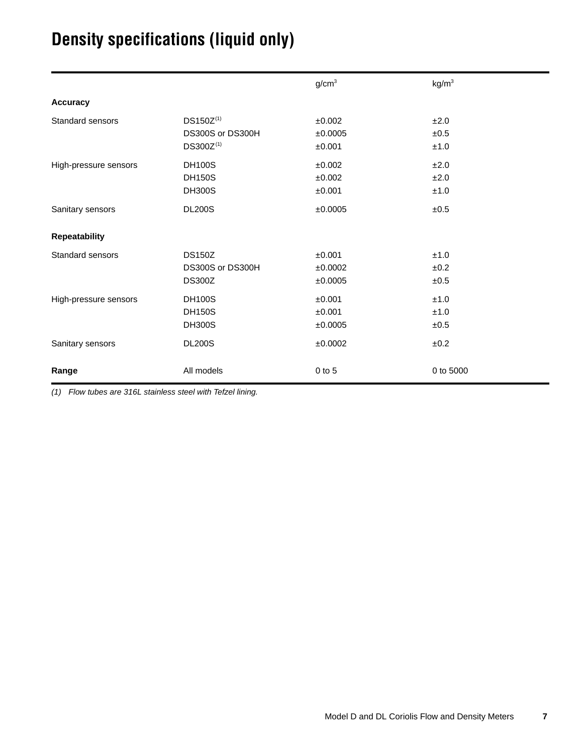# <span id="page-6-0"></span>**Density specifications (liquid only)**

|                       |                  | g/cm <sup>3</sup> | kg/m <sup>3</sup> |
|-----------------------|------------------|-------------------|-------------------|
| <b>Accuracy</b>       |                  |                   |                   |
| Standard sensors      | DS150Z(1)        | ±0.002            | ±2.0              |
|                       | DS300S or DS300H | ±0.0005           | ±0.5              |
|                       | DS300Z(1)        | ±0.001            | ±1.0              |
| High-pressure sensors | <b>DH100S</b>    | ±0.002            | ±2.0              |
|                       | <b>DH150S</b>    | ±0.002            | ±2.0              |
|                       | <b>DH300S</b>    | ±0.001            | ±1.0              |
| Sanitary sensors      | <b>DL200S</b>    | ±0.0005           | ±0.5              |
| <b>Repeatability</b>  |                  |                   |                   |
| Standard sensors      | <b>DS150Z</b>    | ±0.001            | ±1.0              |
|                       | DS300S or DS300H | ±0.0002           | ±0.2              |
|                       | <b>DS300Z</b>    | ±0.0005           | ±0.5              |
| High-pressure sensors | <b>DH100S</b>    | ±0.001            | ±1.0              |
|                       | <b>DH150S</b>    | ±0.001            | ±1.0              |
|                       | <b>DH300S</b>    | ±0.0005           | ±0.5              |
| Sanitary sensors      | <b>DL200S</b>    | ±0.0002           | ±0.2              |
| Range                 | All models       | $0$ to $5$        | 0 to 5000         |

<span id="page-6-1"></span>*(1) Flow tubes are 316L stainless steel with Tefzel lining.*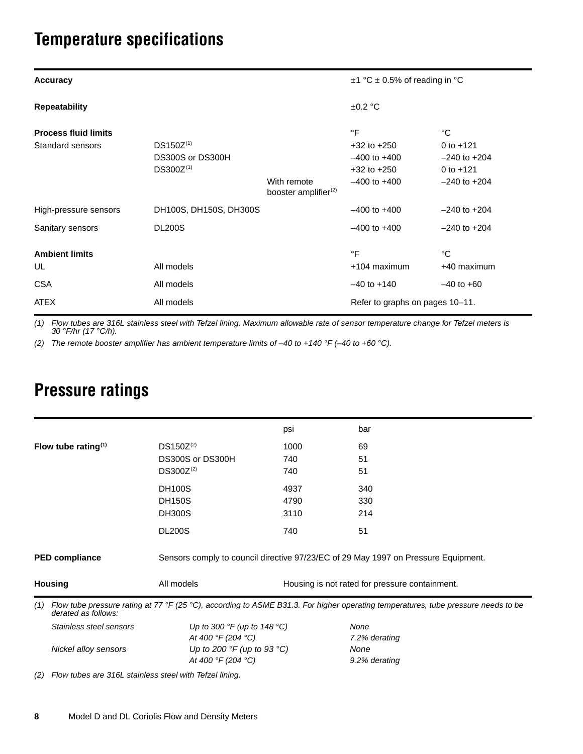# <span id="page-7-0"></span>**Temperature specifications**

| <b>Accuracy</b>             | $\pm$ 1 °C $\pm$ 0.5% of reading in °C |                                                 |                                 |                  |
|-----------------------------|----------------------------------------|-------------------------------------------------|---------------------------------|------------------|
| <b>Repeatability</b>        |                                        |                                                 | ±0.2 °C                         |                  |
| <b>Process fluid limits</b> |                                        |                                                 | $\circ$ F                       | °C               |
| Standard sensors            | $DS150Z^{(1)}$                         |                                                 | $+32$ to $+250$                 | 0 to $+121$      |
|                             | DS300S or DS300H                       |                                                 | $-400$ to $+400$                | $-240$ to $+204$ |
|                             | $DS300Z^{(1)}$                         |                                                 | $+32$ to $+250$                 | 0 to $+121$      |
|                             |                                        | With remote<br>booster amplifier <sup>(2)</sup> | $-400$ to $+400$                | $-240$ to $+204$ |
| High-pressure sensors       | DH100S, DH150S, DH300S                 |                                                 | $-400$ to $+400$                | $-240$ to $+204$ |
| Sanitary sensors            | <b>DL200S</b>                          |                                                 | $-400$ to $+400$                | $-240$ to $+204$ |
| <b>Ambient limits</b>       |                                        |                                                 | °F                              | °C               |
| UL                          | All models                             |                                                 | +104 maximum                    | +40 maximum      |
| <b>CSA</b>                  | All models                             |                                                 | $-40$ to $+140$                 | $-40$ to $+60$   |
| <b>ATEX</b>                 | All models                             |                                                 | Refer to graphs on pages 10–11. |                  |

<span id="page-7-2"></span>*(1) Flow tubes are 316L stainless steel with Tefzel lining. Maximum allowable rate of sensor temperature change for Tefzel meters is 30 °F/hr (17 °C/h).*

*(2) The remote booster amplifier has ambient temperature limits of –40 to +140 °F (–40 to +60 °C).*

|     |                         |                                               | psi  | bar                                                                                                                               |  |  |  |
|-----|-------------------------|-----------------------------------------------|------|-----------------------------------------------------------------------------------------------------------------------------------|--|--|--|
|     | Flow tube rating $(1)$  | $DS150Z^{(2)}$                                | 1000 | 69                                                                                                                                |  |  |  |
|     |                         | DS300S or DS300H                              | 740  | 51                                                                                                                                |  |  |  |
|     |                         | $DS300Z^{(2)}$                                | 740  | 51                                                                                                                                |  |  |  |
|     |                         | <b>DH100S</b>                                 | 4937 | 340                                                                                                                               |  |  |  |
|     |                         | <b>DH150S</b>                                 | 4790 | 330                                                                                                                               |  |  |  |
|     |                         | <b>DH300S</b>                                 | 3110 | 214                                                                                                                               |  |  |  |
|     |                         | <b>DL200S</b>                                 | 740  | 51                                                                                                                                |  |  |  |
|     | <b>PED compliance</b>   |                                               |      | Sensors comply to council directive 97/23/EC of 29 May 1997 on Pressure Equipment.                                                |  |  |  |
|     | <b>Housing</b>          | All models                                    |      | Housing is not rated for pressure containment.                                                                                    |  |  |  |
| (1) | derated as follows:     |                                               |      | Flow tube pressure rating at 77 °F (25 °C), according to ASME B31.3. For higher operating temperatures, tube pressure needs to be |  |  |  |
|     | Stainless steel sensors | Up to 300 $\degree$ F (up to 148 $\degree$ C) |      | None                                                                                                                              |  |  |  |
|     |                         | At 400 °F (204 °C)                            |      | 7.2% derating                                                                                                                     |  |  |  |
|     | Nickel alloy sensors    | Up to 200 $\degree$ F (up to 93 $\degree$ C)  |      | None                                                                                                                              |  |  |  |
|     |                         | At 400 °F (204 °C)                            |      | 9.2% derating                                                                                                                     |  |  |  |
|     |                         |                                               |      |                                                                                                                                   |  |  |  |

## <span id="page-7-1"></span>**Pressure ratings**

<span id="page-7-3"></span>*(2) Flow tubes are 316L stainless steel with Tefzel lining.*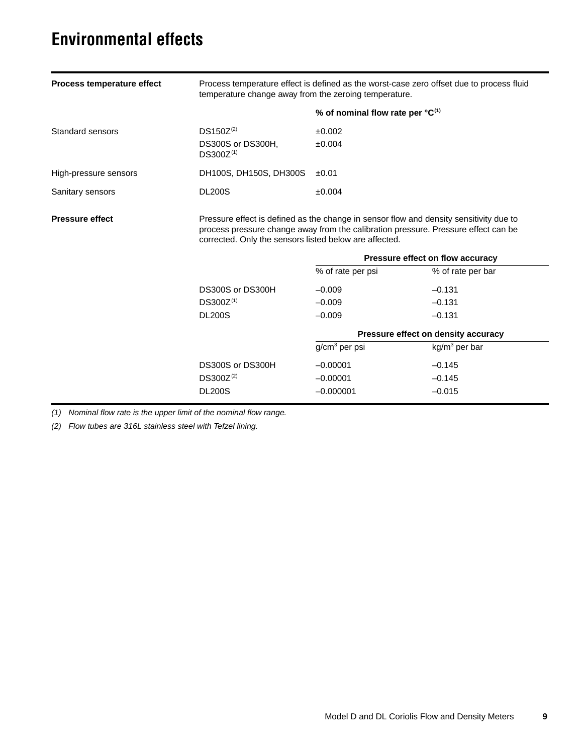## <span id="page-8-0"></span>**Environmental effects**

| Process temperature effect | Process temperature effect is defined as the worst-case zero offset due to process fluid<br>temperature change away from the zeroing temperature.                                                                                      |                                  |                                                       |  |  |
|----------------------------|----------------------------------------------------------------------------------------------------------------------------------------------------------------------------------------------------------------------------------------|----------------------------------|-------------------------------------------------------|--|--|
|                            |                                                                                                                                                                                                                                        | % of nominal flow rate per °C(1) |                                                       |  |  |
| Standard sensors           | $DS150Z^{(2)}$<br>DS300S or DS300H,<br>DS300Z <sup>(1)</sup>                                                                                                                                                                           | ±0.002<br>±0.004                 |                                                       |  |  |
| High-pressure sensors      | DH100S, DH150S, DH300S                                                                                                                                                                                                                 | ±0.01                            |                                                       |  |  |
| Sanitary sensors           | <b>DL200S</b>                                                                                                                                                                                                                          | ±0.004                           |                                                       |  |  |
| <b>Pressure effect</b>     | Pressure effect is defined as the change in sensor flow and density sensitivity due to<br>process pressure change away from the calibration pressure. Pressure effect can be<br>corrected. Only the sensors listed below are affected. |                                  |                                                       |  |  |
|                            |                                                                                                                                                                                                                                        | % of rate per psi                | Pressure effect on flow accuracy                      |  |  |
|                            | DS300S or DS300H<br>$DS300Z^{(1)}$<br><b>DL200S</b>                                                                                                                                                                                    | $-0.009$<br>$-0.009$<br>$-0.009$ | % of rate per bar<br>$-0.131$<br>$-0.131$<br>$-0.131$ |  |  |
|                            |                                                                                                                                                                                                                                        |                                  | Pressure effect on density accuracy                   |  |  |
|                            |                                                                                                                                                                                                                                        | g/cm <sup>3</sup> per psi        | $kg/m3$ per bar                                       |  |  |
|                            | DS300S or DS300H                                                                                                                                                                                                                       | $-0.00001$                       | $-0.145$                                              |  |  |
|                            | $DS300Z^{(2)}$                                                                                                                                                                                                                         | $-0.00001$                       | $-0.145$                                              |  |  |
|                            | <b>DL200S</b>                                                                                                                                                                                                                          | $-0.000001$                      | $-0.015$                                              |  |  |

*(1) Nominal flow rate is the upper limit of the nominal flow range.*

<span id="page-8-1"></span>*(2) Flow tubes are 316L stainless steel with Tefzel lining.*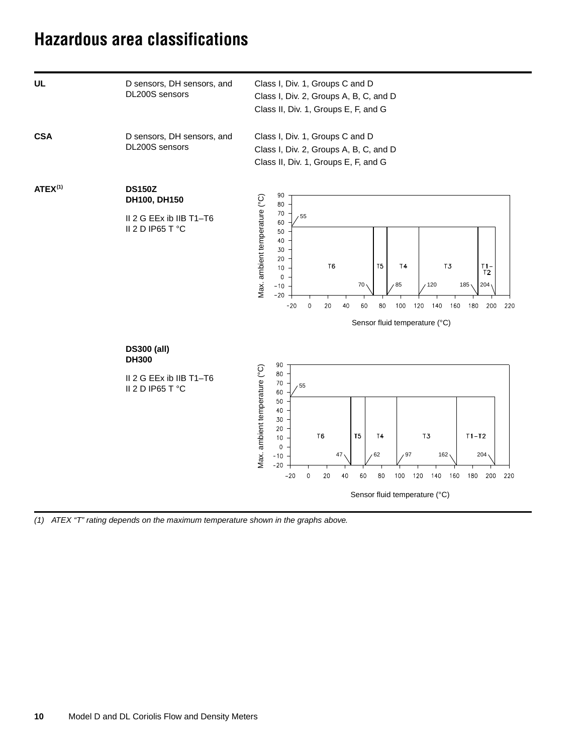## <span id="page-9-0"></span>**Hazardous area classifications**

<span id="page-9-1"></span>

*<sup>(1)</sup> ATEX "T" rating depends on the maximum temperature shown in the graphs above.*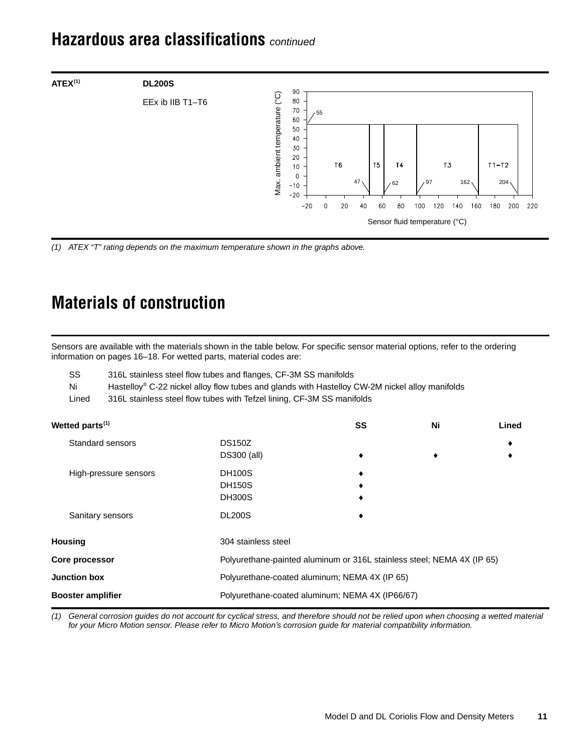## <span id="page-10-1"></span>**Hazardous area classifications** *continued*



## <span id="page-10-0"></span>**Materials of construction**

| EEx ib IIB T1-T6                                                            |                                                                                                                                                                                                                                             |                                                                        | ສບ<br>80<br>70<br>60                                                                    | 55         |          |          |          |                       |                                                   |                                                  |                              |  |
|-----------------------------------------------------------------------------|---------------------------------------------------------------------------------------------------------------------------------------------------------------------------------------------------------------------------------------------|------------------------------------------------------------------------|-----------------------------------------------------------------------------------------|------------|----------|----------|----------|-----------------------|---------------------------------------------------|--------------------------------------------------|------------------------------|--|
|                                                                             |                                                                                                                                                                                                                                             |                                                                        | Max. ambient temperature (°C)<br>50<br>40<br>30<br>20<br>10<br>$\Omega$<br>-10<br>$-20$ | $-20$<br>0 | T6<br>20 | 47<br>40 | T5<br>60 | <b>T4</b><br>62<br>80 | 97<br>100<br>120<br>Sensor fluid temperature (°C) | T <sub>3</sub><br>162 <sub>1</sub><br>140<br>160 | $T1-T2$<br>204<br>180<br>200 |  |
|                                                                             | (1) ATEX "T" rating depends on the maximum temperature shown in the graphs above.<br><b>Materials of construction</b>                                                                                                                       |                                                                        |                                                                                         |            |          |          |          |                       |                                                   |                                                  |                              |  |
|                                                                             | Sensors are available with the materials shown in the table below. For specific sensor material options, refer to the ordering<br>information on pages 16-18. For wetted parts, material codes are:                                         |                                                                        |                                                                                         |            |          |          |          |                       |                                                   |                                                  |                              |  |
| SS<br>Ni<br>Lined                                                           | 316L stainless steel flow tubes and flanges, CF-3M SS manifolds<br>Hastelloy® C-22 nickel alloy flow tubes and glands with Hastelloy CW-2M nickel alloy manifolds<br>316L stainless steel flow tubes with Tefzel lining, CF-3M SS manifolds |                                                                        |                                                                                         |            |          |          |          |                       |                                                   |                                                  |                              |  |
| Wetted parts <sup>(1)</sup>                                                 |                                                                                                                                                                                                                                             |                                                                        |                                                                                         |            |          | SS       |          |                       | Ni                                                |                                                  | Lined                        |  |
|                                                                             | Standard sensors                                                                                                                                                                                                                            | <b>DS150Z</b><br>DS300 (all)                                           |                                                                                         |            |          |          |          |                       |                                                   |                                                  |                              |  |
|                                                                             | High-pressure sensors                                                                                                                                                                                                                       | <b>DH100S</b><br><b>DH150S</b><br><b>DH300S</b>                        |                                                                                         |            |          |          |          |                       |                                                   |                                                  |                              |  |
|                                                                             | Sanitary sensors                                                                                                                                                                                                                            | <b>DL200S</b>                                                          |                                                                                         |            |          |          |          |                       |                                                   |                                                  |                              |  |
| <b>Housing</b>                                                              |                                                                                                                                                                                                                                             | 304 stainless steel                                                    |                                                                                         |            |          |          |          |                       |                                                   |                                                  |                              |  |
| Core processor                                                              |                                                                                                                                                                                                                                             | Polyurethane-painted aluminum or 316L stainless steel; NEMA 4X (IP 65) |                                                                                         |            |          |          |          |                       |                                                   |                                                  |                              |  |
| <b>Junction box</b>                                                         |                                                                                                                                                                                                                                             |                                                                        | Polyurethane-coated aluminum; NEMA 4X (IP 65)                                           |            |          |          |          |                       |                                                   |                                                  |                              |  |
| <b>Booster amplifier</b><br>Polyurethane-coated aluminum; NEMA 4X (IP66/67) |                                                                                                                                                                                                                                             |                                                                        |                                                                                         |            |          |          |          |                       |                                                   |                                                  |                              |  |

*(1) General corrosion guides do not account for cyclical stress, and therefore should not be relied upon when choosing a wetted material for your Micro Motion sensor. Please refer to Micro Motion's corrosion guide for material compatibility information.*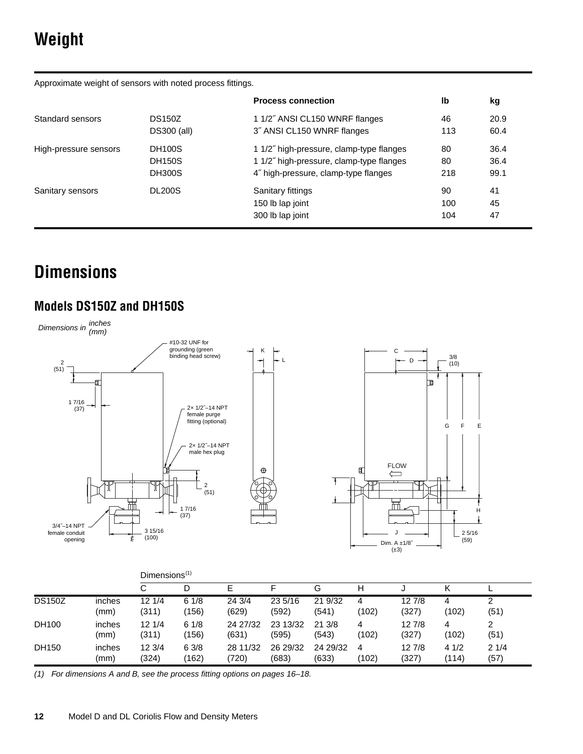# <span id="page-11-0"></span>**Weight**

Approximate weight of sensors with noted process fittings.

|                       |                    | <b>Process connection</b>                | lb  | kg   |
|-----------------------|--------------------|------------------------------------------|-----|------|
| Standard sensors      | <b>DS150Z</b>      | 1 1/2" ANSI CL150 WNRF flanges           | 46  | 20.9 |
|                       | <b>DS300 (all)</b> | 3" ANSI CL150 WNRF flanges               | 113 | 60.4 |
| High-pressure sensors | <b>DH100S</b>      | 1 1/2" high-pressure, clamp-type flanges | 80  | 36.4 |
|                       | <b>DH150S</b>      | 1 1/2" high-pressure, clamp-type flanges | 80  | 36.4 |
|                       | <b>DH300S</b>      | 4" high-pressure, clamp-type flanges     | 218 | 99.1 |
| Sanitary sensors      | <b>DL200S</b>      | Sanitary fittings                        | 90  | 41   |
|                       |                    | 150 lb lap joint                         | 100 | 45   |
|                       |                    | 300 lb lap joint                         | 104 | 47   |

# <span id="page-11-1"></span>**Dimensions**

## **Models DS150Z and DH150S**



|               |                | $Dimensions^{(1)}$ |               |                   |                   |                   |            |                 |               |              |  |
|---------------|----------------|--------------------|---------------|-------------------|-------------------|-------------------|------------|-----------------|---------------|--------------|--|
|               |                | С                  | D             | F                 |                   | G                 | н          |                 |               |              |  |
| <b>DS150Z</b> | inches<br>(mm) | 121/4<br>(311)     | 61/8<br>(156) | 24 3/4<br>(629)   | 23 5/16<br>(592)  | 21 9/32<br>(541)  | 4<br>(102) | 127/8<br>(327)  | 4<br>(102)    | າ<br>(51)    |  |
| DH100         | inches<br>(mm) | 12 1/4<br>(311)    | 61/8<br>(156) | 24 27/32<br>(631) | 23 13/32<br>(595) | 213/8<br>(543)    | 4<br>(102) | 127/8<br>(327)  | 4<br>(102)    | 2<br>(51)    |  |
| DH150         | inches<br>(mm) | 123/4<br>(324)     | 63/8<br>(162) | 28 11/32<br>(720) | 26 29/32<br>(683) | 24 29/32<br>(633) | 4<br>(102) | 12 7/8<br>(327) | 41/2<br>(114) | 21/4<br>(57) |  |

*(1) For dimensions A and B, see the process fitting options on pages [16–](#page-15-0)[18.](#page-17-0)*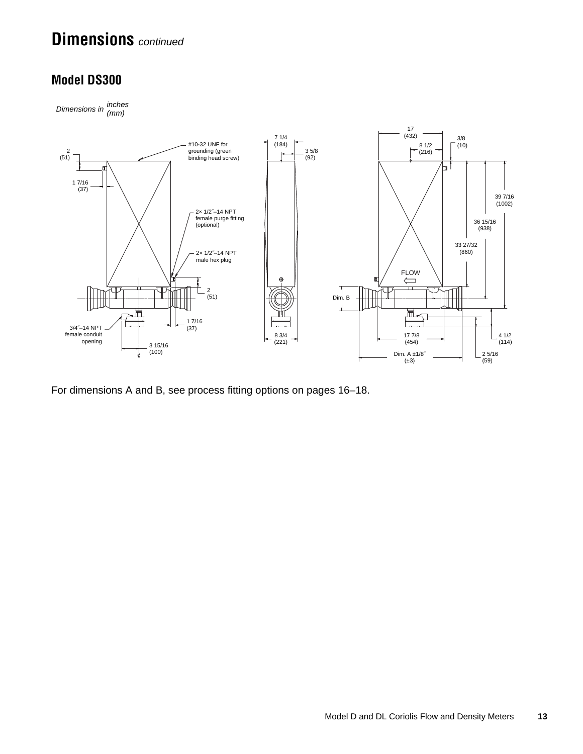## **Dimensions** *continued*

### **Model DS300**

*Dimensions in inches (mm)*



For dimensions A and B, see process fitting options on pages [16](#page-15-0)[–18.](#page-17-0)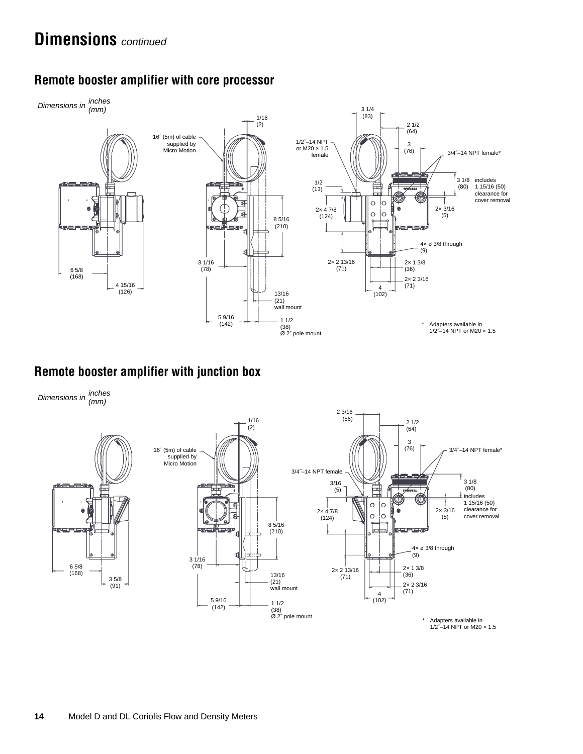

### **Remote booster amplifier with core processor**

### **Remote booster amplifier with junction box**

*Dimensions in inches (mm)*



\* Adapters available in 1/2˝–14 NPT or M20 × 1.5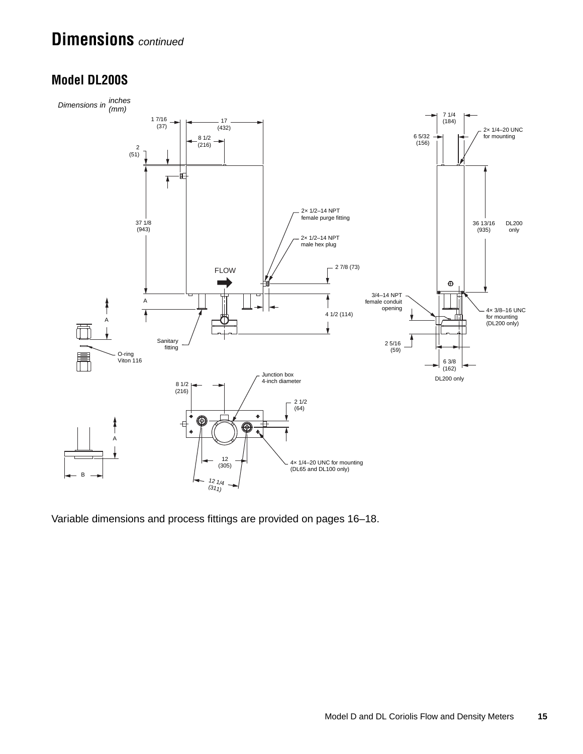## **Dimensions** *continued*

### **Model DL200S**



Variable dimensions and process fittings are provided on pages [16](#page-15-0)[–18.](#page-17-0)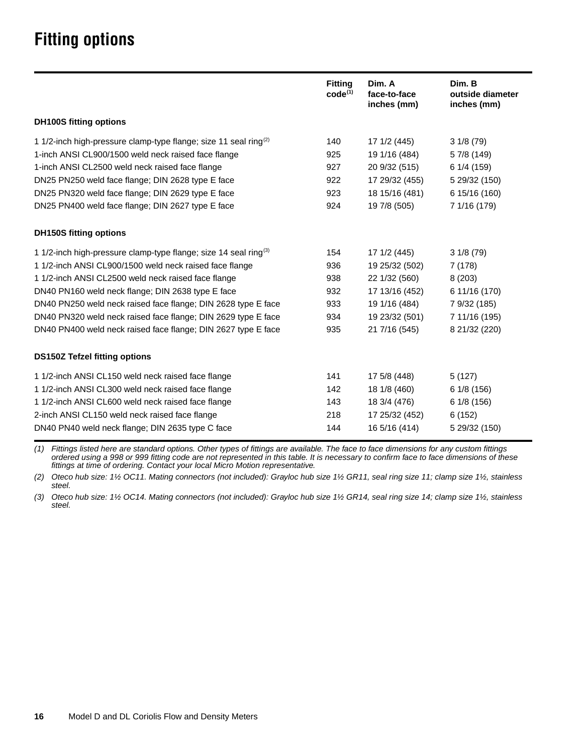# <span id="page-15-0"></span>**Fitting options**

|                                                                              | <b>Fitting</b><br>$code^{(1)}$ | Dim. A<br>face-to-face<br>inches (mm) | Dim. B<br>outside diameter<br>inches (mm) |
|------------------------------------------------------------------------------|--------------------------------|---------------------------------------|-------------------------------------------|
| <b>DH100S fitting options</b>                                                |                                |                                       |                                           |
| 1 1/2-inch high-pressure clamp-type flange; size 11 seal ring <sup>(2)</sup> | 140                            | 17 1/2 (445)                          | 31/8(79)                                  |
| 1-inch ANSI CL900/1500 weld neck raised face flange                          | 925                            | 19 1/16 (484)                         | 57/8 (149)                                |
| 1-inch ANSI CL2500 weld neck raised face flange                              | 927                            | 20 9/32 (515)                         | 6 1/4 (159)                               |
| DN25 PN250 weld face flange; DIN 2628 type E face                            | 922                            | 17 29/32 (455)                        | 5 29/32 (150)                             |
| DN25 PN320 weld face flange; DIN 2629 type E face                            | 923                            | 18 15/16 (481)                        | 6 15/16 (160)                             |
| DN25 PN400 weld face flange; DIN 2627 type E face                            | 924                            | 19 7/8 (505)                          | 7 1/16 (179)                              |
| <b>DH150S fitting options</b>                                                |                                |                                       |                                           |
| 1 1/2-inch high-pressure clamp-type flange; size 14 seal ring <sup>(3)</sup> | 154                            | 17 1/2 (445)                          | 31/8(79)                                  |
| 1 1/2-inch ANSI CL900/1500 weld neck raised face flange                      | 936                            | 19 25/32 (502)                        | 7(178)                                    |
| 1 1/2-inch ANSI CL2500 weld neck raised face flange                          | 938                            | 22 1/32 (560)                         | 8(203)                                    |
| DN40 PN160 weld neck flange; DIN 2638 type E face                            | 932                            | 17 13/16 (452)                        | 6 11/16 (170)                             |
| DN40 PN250 weld neck raised face flange; DIN 2628 type E face                | 933                            | 19 1/16 (484)                         | 7 9/32 (185)                              |
| DN40 PN320 weld neck raised face flange; DIN 2629 type E face                | 934                            | 19 23/32 (501)                        | 7 11/16 (195)                             |
| DN40 PN400 weld neck raised face flange; DIN 2627 type E face                | 935                            | 21 7/16 (545)                         | 8 21/32 (220)                             |
| <b>DS150Z Tefzel fitting options</b>                                         |                                |                                       |                                           |
| 1 1/2-inch ANSI CL150 weld neck raised face flange                           | 141                            | 17 5/8 (448)                          | 5(127)                                    |
| 1 1/2-inch ANSI CL300 weld neck raised face flange                           | 142                            | 18 1/8 (460)                          | 6 1/8 (156)                               |
| 1 1/2-inch ANSI CL600 weld neck raised face flange                           | 143                            | 18 3/4 (476)                          | 6 1/8 (156)                               |
| 2-inch ANSI CL150 weld neck raised face flange                               | 218                            | 17 25/32 (452)                        | 6(152)                                    |
| DN40 PN40 weld neck flange; DIN 2635 type C face                             | 144                            | 16 5/16 (414)                         | 5 29/32 (150)                             |

*(1) Fittings listed here are standard options. Other types of fittings are available. The face to face dimensions for any custom fittings ordered using a 998 or 999 fitting code are not represented in this table. It is necessary to confirm face to face dimensions of these fittings at time of ordering. Contact your local Micro Motion representative.*

*(2) Oteco hub size: 1½ OC11. Mating connectors (not included): Grayloc hub size 1½ GR11, seal ring size 11; clamp size 1½, stainless steel.*

*(3) Oteco hub size: 1½ OC14. Mating connectors (not included): Grayloc hub size 1½ GR14, seal ring size 14; clamp size 1½, stainless steel.*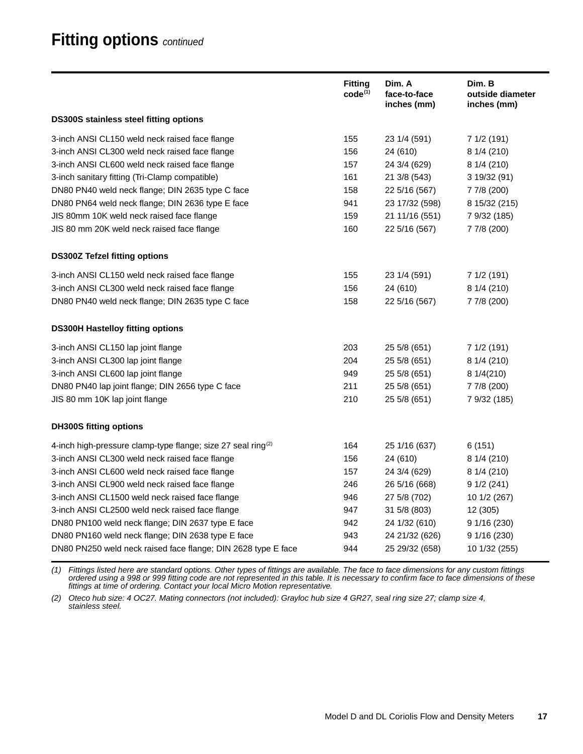## **Fitting options** *continued*

|                                                                          | <b>Fitting</b><br>$code^{(1)}$ | Dim. A<br>face-to-face<br>inches (mm) | Dim. B<br>outside diameter<br>inches (mm) |
|--------------------------------------------------------------------------|--------------------------------|---------------------------------------|-------------------------------------------|
| <b>DS300S stainless steel fitting options</b>                            |                                |                                       |                                           |
| 3-inch ANSI CL150 weld neck raised face flange                           | 155                            | 23 1/4 (591)                          | 7 1/2 (191)                               |
| 3-inch ANSI CL300 weld neck raised face flange                           | 156                            | 24 (610)                              | 8 1/4 (210)                               |
| 3-inch ANSI CL600 weld neck raised face flange                           | 157                            | 24 3/4 (629)                          | 8 1/4 (210)                               |
| 3-inch sanitary fitting (Tri-Clamp compatible)                           | 161                            | 21 3/8 (543)                          | 3 19/32 (91)                              |
| DN80 PN40 weld neck flange; DIN 2635 type C face                         | 158                            | 22 5/16 (567)                         | 7 7/8 (200)                               |
| DN80 PN64 weld neck flange; DIN 2636 type E face                         | 941                            | 23 17/32 (598)                        | 8 15/32 (215)                             |
| JIS 80mm 10K weld neck raised face flange                                | 159                            | 21 11/16 (551)                        | 7 9/32 (185)                              |
| JIS 80 mm 20K weld neck raised face flange                               | 160                            | 22 5/16 (567)                         | 7 7/8 (200)                               |
| <b>DS300Z Tefzel fitting options</b>                                     |                                |                                       |                                           |
| 3-inch ANSI CL150 weld neck raised face flange                           | 155                            | 23 1/4 (591)                          | 7 1/2 (191)                               |
| 3-inch ANSI CL300 weld neck raised face flange                           | 156                            | 24 (610)                              | 8 1/4 (210)                               |
| DN80 PN40 weld neck flange; DIN 2635 type C face                         | 158                            | 22 5/16 (567)                         | 7 7/8 (200)                               |
| <b>DS300H Hastelloy fitting options</b>                                  |                                |                                       |                                           |
| 3-inch ANSI CL150 lap joint flange                                       | 203                            | 25 5/8 (651)                          | 7 1/2 (191)                               |
| 3-inch ANSI CL300 lap joint flange                                       | 204                            | 25 5/8 (651)                          | 8 1/4 (210)                               |
| 3-inch ANSI CL600 lap joint flange                                       | 949                            | 25 5/8 (651)                          | 8 1/4 (210)                               |
| DN80 PN40 lap joint flange; DIN 2656 type C face                         | 211                            | 25 5/8 (651)                          | 7 7/8 (200)                               |
| JIS 80 mm 10K lap joint flange                                           | 210                            | 25 5/8 (651)                          | 7 9/32 (185)                              |
| <b>DH300S fitting options</b>                                            |                                |                                       |                                           |
| 4-inch high-pressure clamp-type flange; size 27 seal ring <sup>(2)</sup> | 164                            | 25 1/16 (637)                         | 6 (151)                                   |
| 3-inch ANSI CL300 weld neck raised face flange                           | 156                            | 24 (610)                              | 8 1/4 (210)                               |
| 3-inch ANSI CL600 weld neck raised face flange                           | 157                            | 24 3/4 (629)                          | 8 1/4 (210)                               |
| 3-inch ANSI CL900 weld neck raised face flange                           | 246                            | 26 5/16 (668)                         | 91/2(241)                                 |
| 3-inch ANSI CL1500 weld neck raised face flange                          | 946                            | 27 5/8 (702)                          | 10 1/2 (267)                              |
| 3-inch ANSI CL2500 weld neck raised face flange                          | 947                            | 31 5/8 (803)                          | 12 (305)                                  |
| DN80 PN100 weld neck flange; DIN 2637 type E face                        | 942                            | 24 1/32 (610)                         | 9 1/16 (230)                              |
| DN80 PN160 weld neck flange; DIN 2638 type E face                        | 943                            | 24 21/32 (626)                        | 9 1/16 (230)                              |
| DN80 PN250 weld neck raised face flange; DIN 2628 type E face            | 944                            | 25 29/32 (658)                        | 10 1/32 (255)                             |

*(1) Fittings listed here are standard options. Other types of fittings are available. The face to face dimensions for any custom fittings ordered using a 998 or 999 fitting code are not represented in this table. It is necessary to confirm face to face dimensions of these fittings at time of ordering. Contact your local Micro Motion representative.*

*(2) Oteco hub size: 4 OC27. Mating connectors (not included): Grayloc hub size 4 GR27, seal ring size 27; clamp size 4, stainless steel.*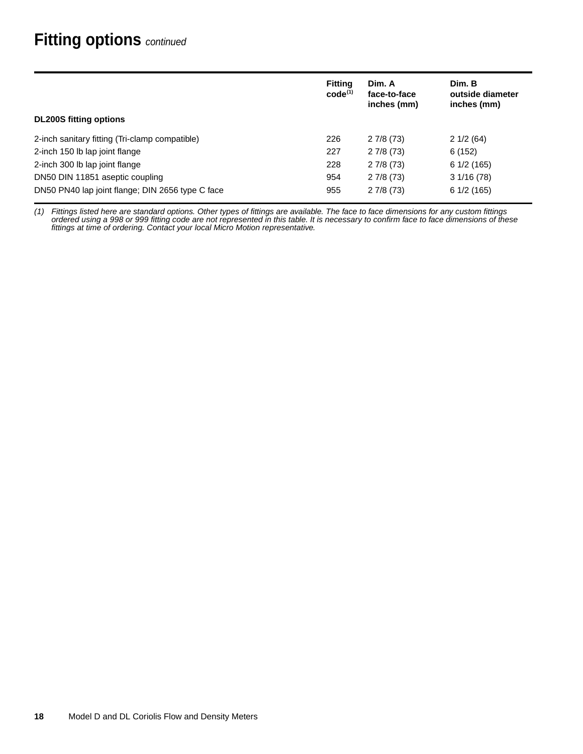## <span id="page-17-0"></span>**Fitting options** *continued*

|                                                  | <b>Fitting</b><br>$code^{(1)}$ | Dim. A<br>face-to-face<br>inches (mm) | Dim. B<br>outside diameter<br>inches (mm) |
|--------------------------------------------------|--------------------------------|---------------------------------------|-------------------------------------------|
| <b>DL200S</b> fitting options                    |                                |                                       |                                           |
| 2-inch sanitary fitting (Tri-clamp compatible)   | 226                            | 27/8(73)                              | 21/2(64)                                  |
| 2-inch 150 lb lap joint flange                   | 227                            | 27/8(73)                              | 6(152)                                    |
| 2-inch 300 lb lap joint flange                   | 228                            | 27/8(73)                              | 61/2(165)                                 |
| DN50 DIN 11851 aseptic coupling                  | 954                            | 27/8(73)                              | 31/16(78)                                 |
| DN50 PN40 lap joint flange; DIN 2656 type C face | 955                            | 27/8(73)                              | 61/2(165)                                 |

*(1) Fittings listed here are standard options. Other types of fittings are available. The face to face dimensions for any custom fittings ordered using a 998 or 999 fitting code are not represented in this table. It is necessary to confirm face to face dimensions of these fittings at time of ordering. Contact your local Micro Motion representative.*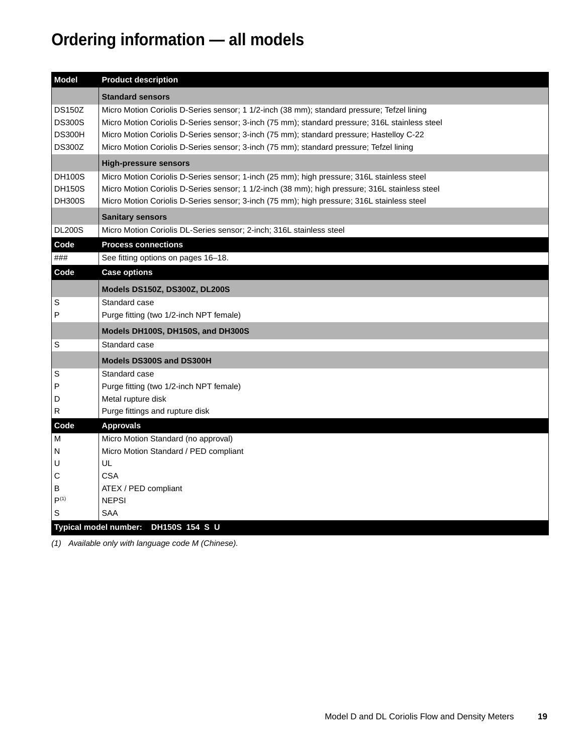# <span id="page-18-0"></span>**Ordering information — all models**

| <b>Standard sensors</b><br><b>DS150Z</b><br>Micro Motion Coriolis D-Series sensor; 1 1/2-inch (38 mm); standard pressure; Tefzel lining<br><b>DS300S</b><br>Micro Motion Coriolis D-Series sensor; 3-inch (75 mm); standard pressure; 316L stainless steel<br><b>DS300H</b><br>Micro Motion Coriolis D-Series sensor; 3-inch (75 mm); standard pressure; Hastelloy C-22<br><b>DS300Z</b><br>Micro Motion Coriolis D-Series sensor; 3-inch (75 mm); standard pressure; Tefzel lining<br><b>High-pressure sensors</b><br><b>DH100S</b><br>Micro Motion Coriolis D-Series sensor; 1-inch (25 mm); high pressure; 316L stainless steel<br><b>DH150S</b><br>Micro Motion Coriolis D-Series sensor; 1 1/2-inch (38 mm); high pressure; 316L stainless steel<br><b>DH300S</b><br>Micro Motion Coriolis D-Series sensor; 3-inch (75 mm); high pressure; 316L stainless steel<br><b>Sanitary sensors</b><br><b>DL200S</b><br>Micro Motion Coriolis DL-Series sensor; 2-inch; 316L stainless steel<br>Code<br><b>Process connections</b><br>###<br>See fitting options on pages 16-18.<br>Code<br><b>Case options</b><br>Models DS150Z, DS300Z, DL200S<br>S<br>Standard case<br>P<br>Purge fitting (two 1/2-inch NPT female)<br>Models DH100S, DH150S, and DH300S |
|---------------------------------------------------------------------------------------------------------------------------------------------------------------------------------------------------------------------------------------------------------------------------------------------------------------------------------------------------------------------------------------------------------------------------------------------------------------------------------------------------------------------------------------------------------------------------------------------------------------------------------------------------------------------------------------------------------------------------------------------------------------------------------------------------------------------------------------------------------------------------------------------------------------------------------------------------------------------------------------------------------------------------------------------------------------------------------------------------------------------------------------------------------------------------------------------------------------------------------------------------------|
|                                                                                                                                                                                                                                                                                                                                                                                                                                                                                                                                                                                                                                                                                                                                                                                                                                                                                                                                                                                                                                                                                                                                                                                                                                                         |
|                                                                                                                                                                                                                                                                                                                                                                                                                                                                                                                                                                                                                                                                                                                                                                                                                                                                                                                                                                                                                                                                                                                                                                                                                                                         |
|                                                                                                                                                                                                                                                                                                                                                                                                                                                                                                                                                                                                                                                                                                                                                                                                                                                                                                                                                                                                                                                                                                                                                                                                                                                         |
|                                                                                                                                                                                                                                                                                                                                                                                                                                                                                                                                                                                                                                                                                                                                                                                                                                                                                                                                                                                                                                                                                                                                                                                                                                                         |
|                                                                                                                                                                                                                                                                                                                                                                                                                                                                                                                                                                                                                                                                                                                                                                                                                                                                                                                                                                                                                                                                                                                                                                                                                                                         |
|                                                                                                                                                                                                                                                                                                                                                                                                                                                                                                                                                                                                                                                                                                                                                                                                                                                                                                                                                                                                                                                                                                                                                                                                                                                         |
|                                                                                                                                                                                                                                                                                                                                                                                                                                                                                                                                                                                                                                                                                                                                                                                                                                                                                                                                                                                                                                                                                                                                                                                                                                                         |
|                                                                                                                                                                                                                                                                                                                                                                                                                                                                                                                                                                                                                                                                                                                                                                                                                                                                                                                                                                                                                                                                                                                                                                                                                                                         |
|                                                                                                                                                                                                                                                                                                                                                                                                                                                                                                                                                                                                                                                                                                                                                                                                                                                                                                                                                                                                                                                                                                                                                                                                                                                         |
|                                                                                                                                                                                                                                                                                                                                                                                                                                                                                                                                                                                                                                                                                                                                                                                                                                                                                                                                                                                                                                                                                                                                                                                                                                                         |
|                                                                                                                                                                                                                                                                                                                                                                                                                                                                                                                                                                                                                                                                                                                                                                                                                                                                                                                                                                                                                                                                                                                                                                                                                                                         |
|                                                                                                                                                                                                                                                                                                                                                                                                                                                                                                                                                                                                                                                                                                                                                                                                                                                                                                                                                                                                                                                                                                                                                                                                                                                         |
| Standard case<br>S                                                                                                                                                                                                                                                                                                                                                                                                                                                                                                                                                                                                                                                                                                                                                                                                                                                                                                                                                                                                                                                                                                                                                                                                                                      |
| Models DS300S and DS300H                                                                                                                                                                                                                                                                                                                                                                                                                                                                                                                                                                                                                                                                                                                                                                                                                                                                                                                                                                                                                                                                                                                                                                                                                                |
| S<br>Standard case<br>P<br>Purge fitting (two 1/2-inch NPT female)<br>Metal rupture disk<br>D<br>${\sf R}$<br>Purge fittings and rupture disk                                                                                                                                                                                                                                                                                                                                                                                                                                                                                                                                                                                                                                                                                                                                                                                                                                                                                                                                                                                                                                                                                                           |
| <b>Approvals</b><br>Code                                                                                                                                                                                                                                                                                                                                                                                                                                                                                                                                                                                                                                                                                                                                                                                                                                                                                                                                                                                                                                                                                                                                                                                                                                |
| Micro Motion Standard (no approval)<br>м<br>Micro Motion Standard / PED compliant<br>N                                                                                                                                                                                                                                                                                                                                                                                                                                                                                                                                                                                                                                                                                                                                                                                                                                                                                                                                                                                                                                                                                                                                                                  |
| U<br>UL<br>С<br><b>CSA</b>                                                                                                                                                                                                                                                                                                                                                                                                                                                                                                                                                                                                                                                                                                                                                                                                                                                                                                                                                                                                                                                                                                                                                                                                                              |
| B<br>ATEX / PED compliant                                                                                                                                                                                                                                                                                                                                                                                                                                                                                                                                                                                                                                                                                                                                                                                                                                                                                                                                                                                                                                                                                                                                                                                                                               |
| P <sup>(1)</sup><br><b>NEPSI</b>                                                                                                                                                                                                                                                                                                                                                                                                                                                                                                                                                                                                                                                                                                                                                                                                                                                                                                                                                                                                                                                                                                                                                                                                                        |
| $\mathsf S$<br>SAA<br>Typical model number: DH150S 154 S U                                                                                                                                                                                                                                                                                                                                                                                                                                                                                                                                                                                                                                                                                                                                                                                                                                                                                                                                                                                                                                                                                                                                                                                              |

*(1) Available only with language code M (Chinese).*